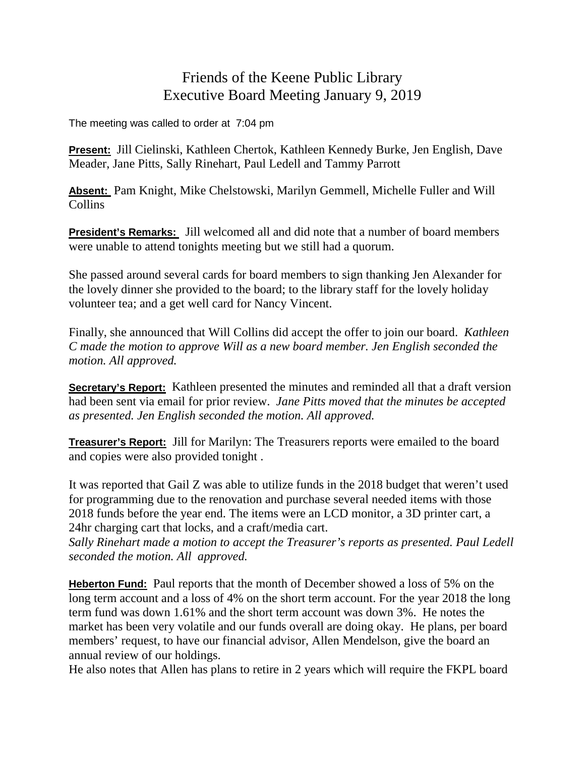## Friends of the Keene Public Library Executive Board Meeting January 9, 2019

The meeting was called to order at 7:04 pm

**Present:** Jill Cielinski, Kathleen Chertok, Kathleen Kennedy Burke, Jen English, Dave Meader, Jane Pitts, Sally Rinehart, Paul Ledell and Tammy Parrott

**Absent:** Pam Knight, Mike Chelstowski, Marilyn Gemmell, Michelle Fuller and Will Collins

**President's Remarks:** Jill welcomed all and did note that a number of board members were unable to attend tonights meeting but we still had a quorum.

She passed around several cards for board members to sign thanking Jen Alexander for the lovely dinner she provided to the board; to the library staff for the lovely holiday volunteer tea; and a get well card for Nancy Vincent.

Finally, she announced that Will Collins did accept the offer to join our board. *Kathleen C made the motion to approve Will as a new board member. Jen English seconded the motion. All approved.*

**Secretary's Report:** Kathleen presented the minutes and reminded all that a draft version had been sent via email for prior review. *Jane Pitts moved that the minutes be accepted as presented. Jen English seconded the motion. All approved.*

**Treasurer's Report:** Jill for Marilyn: The Treasurers reports were emailed to the board and copies were also provided tonight .

It was reported that Gail Z was able to utilize funds in the 2018 budget that weren't used for programming due to the renovation and purchase several needed items with those 2018 funds before the year end. The items were an LCD monitor, a 3D printer cart, a 24hr charging cart that locks, and a craft/media cart.

*Sally Rinehart made a motion to accept the Treasurer's reports as presented. Paul Ledell seconded the motion. All approved.*

**Heberton Fund:** Paul reports that the month of December showed a loss of 5% on the long term account and a loss of 4% on the short term account. For the year 2018 the long term fund was down 1.61% and the short term account was down 3%. He notes the market has been very volatile and our funds overall are doing okay. He plans, per board members' request, to have our financial advisor, Allen Mendelson, give the board an annual review of our holdings.

He also notes that Allen has plans to retire in 2 years which will require the FKPL board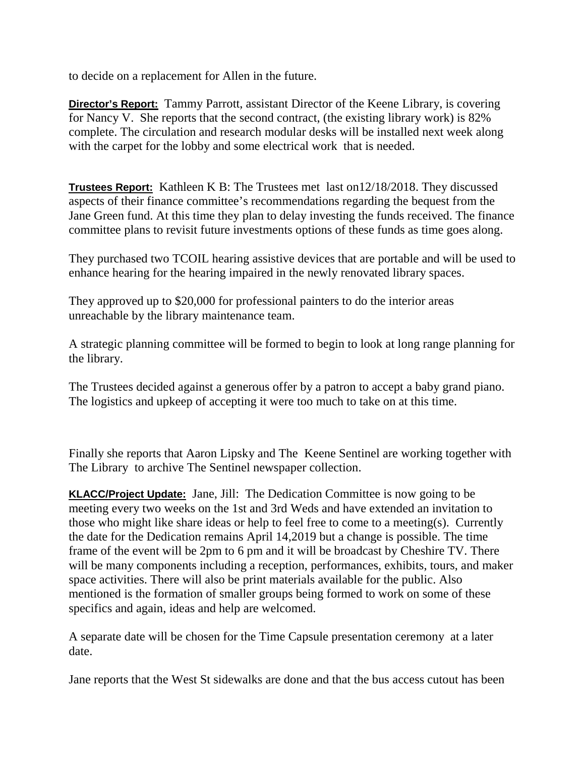to decide on a replacement for Allen in the future.

**Director's Report:** Tammy Parrott, assistant Director of the Keene Library, is covering for Nancy V. She reports that the second contract, (the existing library work) is 82% complete. The circulation and research modular desks will be installed next week along with the carpet for the lobby and some electrical work that is needed.

**Trustees Report:** Kathleen K B: The Trustees met last on12/18/2018. They discussed aspects of their finance committee's recommendations regarding the bequest from the Jane Green fund. At this time they plan to delay investing the funds received. The finance committee plans to revisit future investments options of these funds as time goes along.

They purchased two TCOIL hearing assistive devices that are portable and will be used to enhance hearing for the hearing impaired in the newly renovated library spaces.

They approved up to \$20,000 for professional painters to do the interior areas unreachable by the library maintenance team.

A strategic planning committee will be formed to begin to look at long range planning for the library.

The Trustees decided against a generous offer by a patron to accept a baby grand piano. The logistics and upkeep of accepting it were too much to take on at this time.

Finally she reports that Aaron Lipsky and The Keene Sentinel are working together with The Library to archive The Sentinel newspaper collection.

**KLACC/Project Update:** Jane, Jill: The Dedication Committee is now going to be meeting every two weeks on the 1st and 3rd Weds and have extended an invitation to those who might like share ideas or help to feel free to come to a meeting(s). Currently the date for the Dedication remains April 14,2019 but a change is possible. The time frame of the event will be 2pm to 6 pm and it will be broadcast by Cheshire TV. There will be many components including a reception, performances, exhibits, tours, and maker space activities. There will also be print materials available for the public. Also mentioned is the formation of smaller groups being formed to work on some of these specifics and again, ideas and help are welcomed.

A separate date will be chosen for the Time Capsule presentation ceremony at a later date.

Jane reports that the West St sidewalks are done and that the bus access cutout has been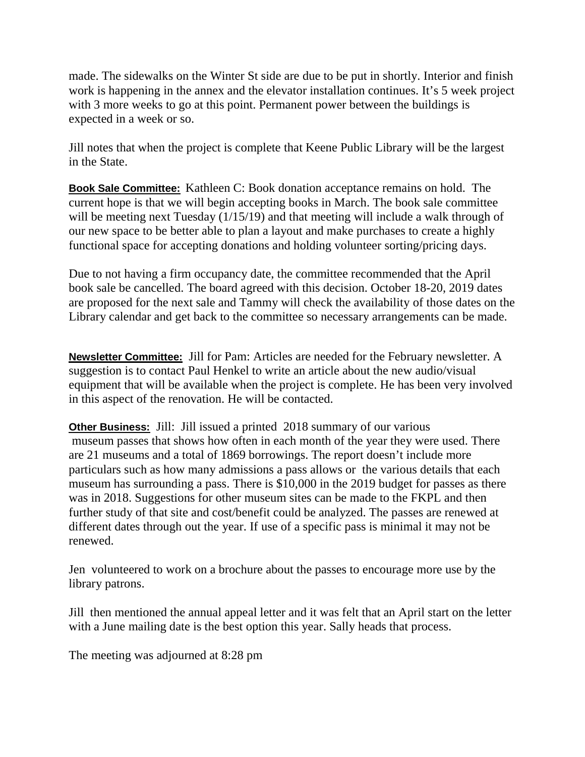made. The sidewalks on the Winter St side are due to be put in shortly. Interior and finish work is happening in the annex and the elevator installation continues. It's 5 week project with 3 more weeks to go at this point. Permanent power between the buildings is expected in a week or so.

Jill notes that when the project is complete that Keene Public Library will be the largest in the State.

**Book Sale Committee:** Kathleen C: Book donation acceptance remains on hold. The current hope is that we will begin accepting books in March. The book sale committee will be meeting next Tuesday (1/15/19) and that meeting will include a walk through of our new space to be better able to plan a layout and make purchases to create a highly functional space for accepting donations and holding volunteer sorting/pricing days.

Due to not having a firm occupancy date, the committee recommended that the April book sale be cancelled. The board agreed with this decision. October 18-20, 2019 dates are proposed for the next sale and Tammy will check the availability of those dates on the Library calendar and get back to the committee so necessary arrangements can be made.

**Newsletter Committee:** Jill for Pam: Articles are needed for the February newsletter. A suggestion is to contact Paul Henkel to write an article about the new audio/visual equipment that will be available when the project is complete. He has been very involved in this aspect of the renovation. He will be contacted.

**Other Business:** Jill: Jill issued a printed 2018 summary of our various museum passes that shows how often in each month of the year they were used. There are 21 museums and a total of 1869 borrowings. The report doesn't include more particulars such as how many admissions a pass allows or the various details that each museum has surrounding a pass. There is \$10,000 in the 2019 budget for passes as there was in 2018. Suggestions for other museum sites can be made to the FKPL and then further study of that site and cost/benefit could be analyzed. The passes are renewed at different dates through out the year. If use of a specific pass is minimal it may not be renewed.

Jen volunteered to work on a brochure about the passes to encourage more use by the library patrons.

Jill then mentioned the annual appeal letter and it was felt that an April start on the letter with a June mailing date is the best option this year. Sally heads that process.

The meeting was adjourned at 8:28 pm